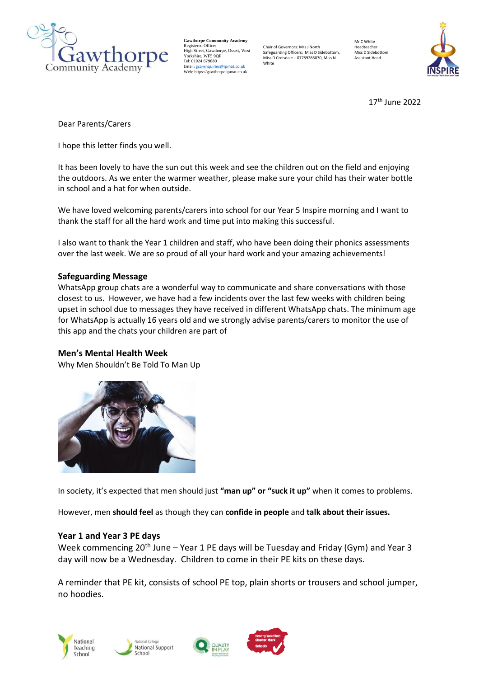

**Gawthorpe Community Academy** Registered Office: High Street, Gawthorpe, Ossett, West Yorkshire, WF5 9QP Tel: 01924 679680 Email[: gca-enquiries@ipmat.co.uk](mailto:gca-enquiries@ipmat.co.uk) Web: https://gawthorpe.ipmat.co.uk

Chair of Governors: Mrs J North Safeguarding Officers: Miss D Sidebottom, Miss D Croisdale – 07789286870, Miss N **White** 

Mr C White Headteache Miss D Sidebottom Assistant Head



17th June 2022

Dear Parents/Carers

I hope this letter finds you well.

It has been lovely to have the sun out this week and see the children out on the field and enjoying the outdoors. As we enter the warmer weather, please make sure your child has their water bottle in school and a hat for when outside.

We have loved welcoming parents/carers into school for our Year 5 Inspire morning and I want to thank the staff for all the hard work and time put into making this successful.

I also want to thank the Year 1 children and staff, who have been doing their phonics assessments over the last week. We are so proud of all your hard work and your amazing achievements!

#### **Safeguarding Message**

WhatsApp group chats are a wonderful way to communicate and share conversations with those closest to us. However, we have had a few incidents over the last few weeks with children being upset in school due to messages they have received in different WhatsApp chats. The minimum age for WhatsApp is actually 16 years old and we strongly advise parents/carers to monitor the use of this app and the chats your children are part of

#### **Men's Mental Health Week**

Why Men Shouldn't Be Told To Man Up



In society, it's expected that men should just **"man up" or "suck it up"** when it comes to problems.

However, men **should feel** as though they can **confide in people** and **talk about their issues.**

## **Year 1 and Year 3 PE days**

Week commencing  $20<sup>th</sup>$  June – Year 1 PE days will be Tuesday and Friday (Gym) and Year 3 day will now be a Wednesday. Children to come in their PE kits on these days.

A reminder that PE kit, consists of school PE top, plain shorts or trousers and school jumper, no hoodies.







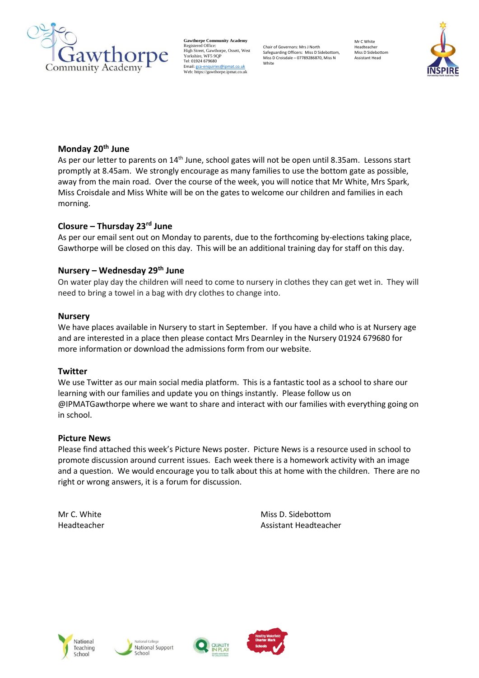

**Gawthorpe Community Academy** Registered Office: High Street, Gawthorpe, Ossett, West Yorkshire, WF5 9QP Tel: 01924 679680 Email[: gca-enquiries@ipmat.co.uk](mailto:gca-enquiries@ipmat.co.uk) Web: https://gawthorpe.ipmat.co.uk

Chair of Governors: Mrs J North Safeguarding Officers: Miss D Sidebottom, Miss D Croisdale – 07789286870, Miss N White

Mr C White Headteache Miss D Sidebottom Assistant Head



## **Monday 20th June**

As per our letter to parents on 14th June, school gates will not be open until 8.35am. Lessons start promptly at 8.45am. We strongly encourage as many families to use the bottom gate as possible, away from the main road. Over the course of the week, you will notice that Mr White, Mrs Spark, Miss Croisdale and Miss White will be on the gates to welcome our children and families in each morning.

## **Closure – Thursday 23rd June**

As per our email sent out on Monday to parents, due to the forthcoming by-elections taking place, Gawthorpe will be closed on this day. This will be an additional training day for staff on this day.

## **Nursery – Wednesday 29th June**

On water play day the children will need to come to nursery in clothes they can get wet in. They will need to bring a towel in a bag with dry clothes to change into.

## **Nursery**

We have places available in Nursery to start in September. If you have a child who is at Nursery age and are interested in a place then please contact Mrs Dearnley in the Nursery 01924 679680 for more information or download the admissions form from our website.

## **Twitter**

We use Twitter as our main social media platform. This is a fantastic tool as a school to share our learning with our families and update you on things instantly. Please follow us on @IPMATGawthorpe where we want to share and interact with our families with everything going on in school.

## **Picture News**

Please find attached this week's Picture News poster.  Picture News is a resource used in school to promote discussion around current issues.  Each week there is a homework activity with an image and a question.  We would encourage you to talk about this at home with the children.  There are no right or wrong answers, it is a forum for discussion.   

Mr C. White Miss D. Sidebottom Headteacher Assistant Headteacher







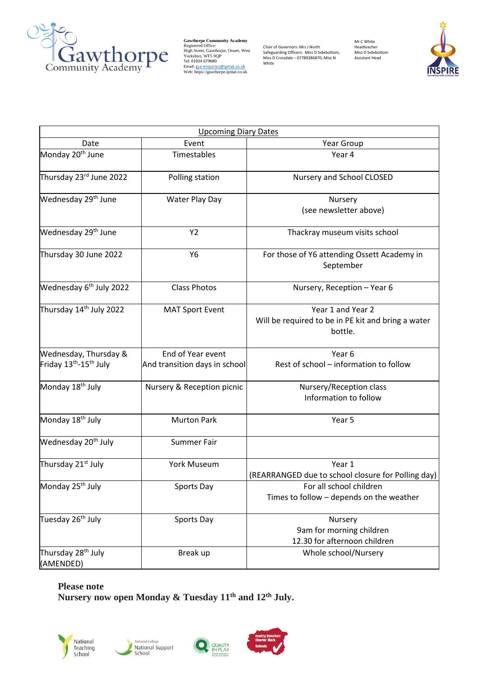

Gawthorpe Community Academy<br>
Righ Street, Gawthorpe, Ossett, West<br>
Yorkshire, WF5 9QP<br>
Tel: 01924 679680<br>
Hel: 1924 679680<br>
Web: https://gawthorpe.ipmat.co.uk<br>
Web: https://gawthorpe.ipmat.co.uk

Chair of Governors: Mrs J North Safeguarding Officers: Miss D Sidebottom, Miss D Croisdale – 07789286870, Miss N White

Mr C White Headteacher Miss D Sidebottom Assistant Head



|                                             | <b>Upcoming Diary Dates</b>   |                                                                                    |
|---------------------------------------------|-------------------------------|------------------------------------------------------------------------------------|
| Date                                        | Event                         | Year Group                                                                         |
| Monday 20 <sup>th</sup> June                | Timestables                   | Year 4                                                                             |
| Thursday 23rd June 2022                     | Polling station               | Nursery and School CLOSED                                                          |
| Wednesday 29 <sup>th</sup> June             | Water Play Day                | Nursery<br>(see newsletter above)                                                  |
| Wednesday 29 <sup>th</sup> June             | <b>Y2</b>                     | Thackray museum visits school                                                      |
| Thursday 30 June 2022                       | Y6                            | For those of Y6 attending Ossett Academy in<br>September                           |
| Wednesday 6 <sup>th</sup> July 2022         | <b>Class Photos</b>           | Nursery, Reception - Year 6                                                        |
| Thursday 14 <sup>th</sup> July 2022         | <b>MAT Sport Event</b>        | Year 1 and Year 2<br>Will be required to be in PE kit and bring a water<br>bottle. |
| Wednesday, Thursday &                       | End of Year event             | Year <sub>6</sub>                                                                  |
| Friday 13th-15th July                       | And transition days in school | Rest of school - information to follow                                             |
| Monday 18 <sup>th</sup> July                | Nursery & Reception picnic    | Nursery/Reception class<br>Information to follow                                   |
| Monday 18 <sup>th</sup> July                | <b>Murton Park</b>            | Year 5                                                                             |
| Wednesday 20 <sup>th</sup> July             | Summer Fair                   |                                                                                    |
| Thursday 21 <sup>st</sup> July              | <b>York Museum</b>            | Year 1<br>(REARRANGED due to school closure for Polling day)                       |
| Monday 25 <sup>th</sup> July                | Sports Day                    | For all school children<br>Times to follow - depends on the weather                |
| Tuesday 26 <sup>th</sup> July               | Sports Day                    | Nursery<br>9am for morning children<br>12.30 for afternoon children                |
| Thursday 28 <sup>th</sup> July<br>(AMENDED) | Break up                      | Whole school/Nursery                                                               |

**Please note**

**Nursery now open Monday & Tuesday 11th and 12th July.**